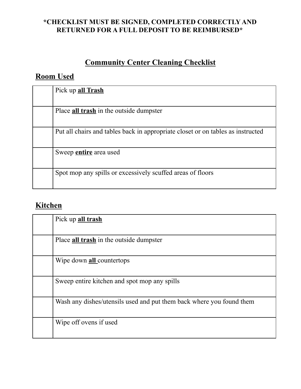### **Community Center Cleaning Checklist**

#### **Room Used**

| Pick up all Trash                                                               |
|---------------------------------------------------------------------------------|
| Place <b>all trash</b> in the outside dumpster                                  |
| Put all chairs and tables back in appropriate closet or on tables as instructed |
| Sweep <b>entire</b> area used                                                   |
| Spot mop any spills or excessively scuffed areas of floors                      |

### **Kitchen**

| Pick up all trash                                                    |
|----------------------------------------------------------------------|
| Place all trash in the outside dumpster                              |
| Wipe down <b>all</b> countertops                                     |
| Sweep entire kitchen and spot mop any spills                         |
| Wash any dishes/utensils used and put them back where you found them |
| Wipe off ovens if used                                               |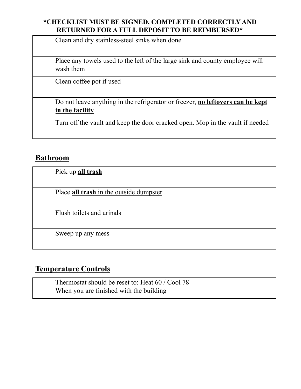| Clean and dry stainless-steel sinks when done                                                     |
|---------------------------------------------------------------------------------------------------|
| Place any towels used to the left of the large sink and county employee will<br>wash them         |
| Clean coffee pot if used                                                                          |
| Do not leave anything in the refrigerator or freezer, no leftovers can be kept<br>in the facility |
| Turn off the vault and keep the door cracked open. Mop in the vault if needed                     |

#### **Bathroom**

| Pick up all trash                       |
|-----------------------------------------|
| Place all trash in the outside dumpster |
|                                         |
| Flush toilets and urinals               |
| Sweep up any mess                       |

### **Temperature Controls**

| Thermostat should be reset to: Heat 60 / Cool 78 |  |
|--------------------------------------------------|--|
| When you are finished with the building          |  |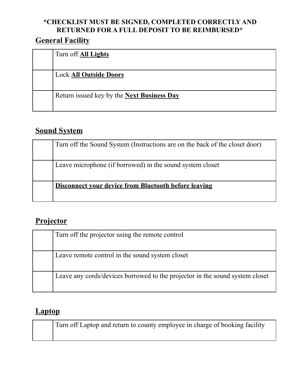### **General Facility**

| Turn off <b>All Lights</b>                        |
|---------------------------------------------------|
| <b>Lock All Outside Doors</b>                     |
| Return issued key by the <b>Next Business Day</b> |

#### **Sound System**

| Turn off the Sound System (Instructions are on the back of the closet door) |
|-----------------------------------------------------------------------------|
| Leave microphone (if borrowed) in the sound system closet                   |
| Disconnect your device from Bluetooth before leaving                        |

#### **Projector**

| Turn off the projector using the remote control                              |
|------------------------------------------------------------------------------|
| Leave remote control in the sound system closet                              |
| Leave any cords/devices borrowed to the projector in the sound system closet |

#### **Laptop**

Turn off Laptop and return to county employee in charge of booking facility